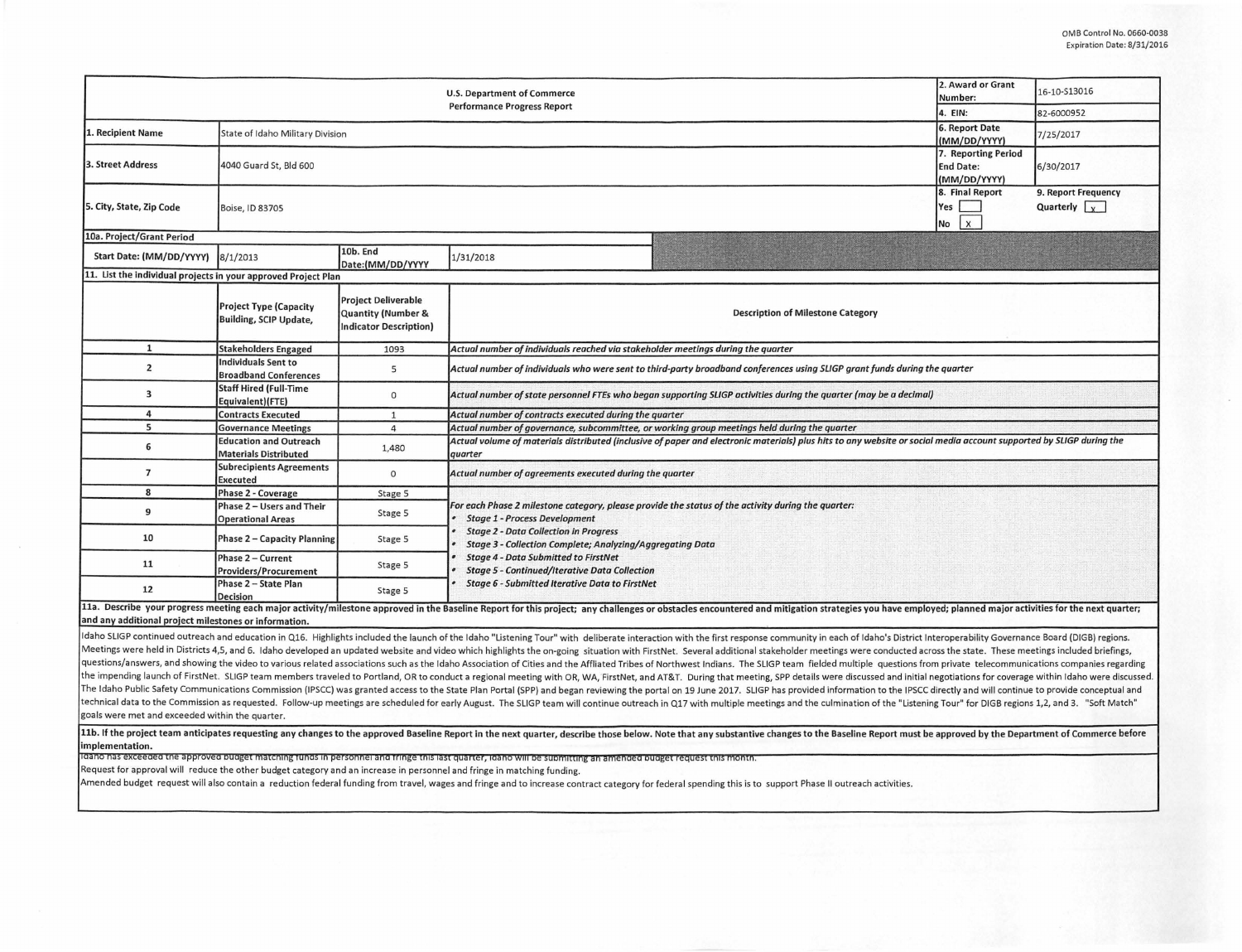|                                                                |                                                               |                                                                                              | <b>U.S. Department of Commerce</b>                                                                                                                                                                                                                                                                                                                                                                                             |                    | 16-10-S13016 |  |  |
|----------------------------------------------------------------|---------------------------------------------------------------|----------------------------------------------------------------------------------------------|--------------------------------------------------------------------------------------------------------------------------------------------------------------------------------------------------------------------------------------------------------------------------------------------------------------------------------------------------------------------------------------------------------------------------------|--------------------|--------------|--|--|
|                                                                |                                                               |                                                                                              | <b>Performance Progress Report</b>                                                                                                                                                                                                                                                                                                                                                                                             | Number:<br>4. EIN: | 82-6000952   |  |  |
| Recipient Name                                                 | State of Idaho Military Division                              |                                                                                              |                                                                                                                                                                                                                                                                                                                                                                                                                                |                    | 7/25/2017    |  |  |
| 3. Street Address                                              | 4040 Guard St, Bld 600                                        |                                                                                              |                                                                                                                                                                                                                                                                                                                                                                                                                                |                    | 6/30/2017    |  |  |
| 5. City, State, Zip Code                                       | Boise, ID 83705                                               |                                                                                              |                                                                                                                                                                                                                                                                                                                                                                                                                                |                    |              |  |  |
| 10a. Project/Grant Period                                      |                                                               |                                                                                              |                                                                                                                                                                                                                                                                                                                                                                                                                                |                    |              |  |  |
| Start Date: (MM/DD/YYYY)                                       | 8/1/2013                                                      | 10b. End<br>Date:(MM/DD/YYYY                                                                 | 1/31/2018                                                                                                                                                                                                                                                                                                                                                                                                                      |                    |              |  |  |
| 11. List the individual projects in your approved Project Plan |                                                               |                                                                                              |                                                                                                                                                                                                                                                                                                                                                                                                                                |                    |              |  |  |
|                                                                | <b>Project Type (Capacity</b><br>Building, SCIP Update,       | <b>Project Deliverable</b><br><b>Quantity (Number &amp;</b><br><b>Indicator Description)</b> | <b>Description of Milestone Category</b>                                                                                                                                                                                                                                                                                                                                                                                       |                    |              |  |  |
| $\mathbf{1}$                                                   | <b>Stakeholders Engaged</b>                                   | 1093                                                                                         | Actual number of individuals reached via stakeholder meetings during the quarter                                                                                                                                                                                                                                                                                                                                               |                    |              |  |  |
| $\overline{2}$                                                 | <b>Individuals Sent to</b><br><b>Broadband Conferences</b>    | 5                                                                                            | Actual number of individuals who were sent to third-party broadband conferences using SLIGP grant funds during the quarter                                                                                                                                                                                                                                                                                                     |                    |              |  |  |
| $\overline{\mathbf{3}}$                                        | <b>Staff Hired (Full-Time</b><br>Equivalent)(FTE)             | $\mathbf 0$                                                                                  | Actual number of state personnel FTEs who began supporting SLIGP activities during the quarter (may be a decimal)                                                                                                                                                                                                                                                                                                              |                    |              |  |  |
| 4                                                              | <b>Contracts Executed</b>                                     | $\mathbf{1}$                                                                                 | Actual number of contracts executed during the quarter                                                                                                                                                                                                                                                                                                                                                                         |                    |              |  |  |
| 5                                                              | <b>Governance Meetings</b>                                    | $\overline{4}$                                                                               | Actual number of governance, subcommittee, or working group meetings held during the quarter                                                                                                                                                                                                                                                                                                                                   |                    |              |  |  |
| 6                                                              | <b>Education and Outreach</b><br><b>Materials Distributed</b> | 1,480                                                                                        | Actual volume of materials distributed (inclusive of paper and electronic materials) plus hits to any website or social media account supported by SLIGP during the<br>quarter                                                                                                                                                                                                                                                 |                    |              |  |  |
| $\overline{7}$                                                 | <b>Subrecipients Agreements</b><br><b>Executed</b>            | $\circ$                                                                                      | Actual number of agreements executed during the quarter                                                                                                                                                                                                                                                                                                                                                                        |                    |              |  |  |
| 8                                                              | Phase 2 - Coverage                                            | Stage 5                                                                                      |                                                                                                                                                                                                                                                                                                                                                                                                                                |                    |              |  |  |
| 9                                                              | Phase 2 - Users and Their<br><b>Operational Areas</b>         | Stage 5                                                                                      | For each Phase 2 milestone category, please provide the status of the activity during the quarter:<br><b>Stage 1 - Process Development</b><br><b>Stage 2 - Data Collection in Progress</b><br><b>Stage 3 - Collection Complete; Analyzing/Aggregating Data</b><br><b>Stage 4 - Data Submitted to FirstNet</b><br><b>Stage 5 - Continued/Iterative Data Collection</b><br><b>Stage 6 - Submitted Iterative Data to FirstNet</b> |                    |              |  |  |
| 10                                                             | Phase 2 - Capacity Planning                                   | Stage 5                                                                                      |                                                                                                                                                                                                                                                                                                                                                                                                                                |                    |              |  |  |
| 11                                                             | Phase 2 - Current<br><b>Providers/Procurement</b>             | Stage 5                                                                                      |                                                                                                                                                                                                                                                                                                                                                                                                                                |                    |              |  |  |
| 12                                                             | Phase 2 - State Plan<br><b>Decision</b>                       | Stage 5                                                                                      |                                                                                                                                                                                                                                                                                                                                                                                                                                |                    |              |  |  |
| and any additional project milestones or information.          |                                                               |                                                                                              | 11a. Describe your progress meeting each major activity/milestone approved in the Baseline Report for this project; any challenges or obstacles encountered and mitigation strategies you have employed; planned major activit                                                                                                                                                                                                 |                    |              |  |  |

Idaho SLIGP continued outreach and education in Q16. Highlights included the launch of the Idaho "Listening Tour" with deliberate interaction with the first response community in each of Idaho's District Interoperability G

Meetings were held in Districts 4,5, and 6. Idaho developed an updated website and video which highlights the on-going situation with FirstNet. Several additional stakeholder meetings were conducted across the state. These questions/answers, and showing the video to various related associations such as the Idaho Association of Cities and the Affliated Tribes of Northwest Indians. The SLIGP team fielded multiple questions from private telecom the impending launch of FirstNet. SLIGP team members traveled to Portland, OR to conduct a regional meeting with OR, WA, FirstNet, and AT&T. During that meeting, SPP details were discussed and initial negotiations for cove The Idaho Public Safety Communications Commission (IPSCC) was granted access to the State Plan Portal (SPP) and began reviewing the portal on 19 June 2017. SLIGP has provided information to the IPSCC directly and will cont technical data to the Commission as requested. Follow-up meetings are scheduled for early August. The SLIGP team will continue outreach in Q17 with multiple meetings and the culmination of the "Listening Tour" for DIGB reg goals were met and exceeded within the quarter.

11b. If the project team anticipates requesting any changes to the approved Baseline Report in the next quarter, describe those below. Note that any substantive changes to the Baseline Report must be approved by the Depart implementation.

Thano has exceeded the approved budget matching funds in personnel and fringe this last quarter, idaho will be submitting an amended budget request this month.

Request for approval will reduce the other budget category and an increase in personnel and fringe in matching funding.

Amended budget request will also contain a reduction federal funding from travel, wages and fringe and to increase contract category for federal spending this is to support Phase II outreach activities.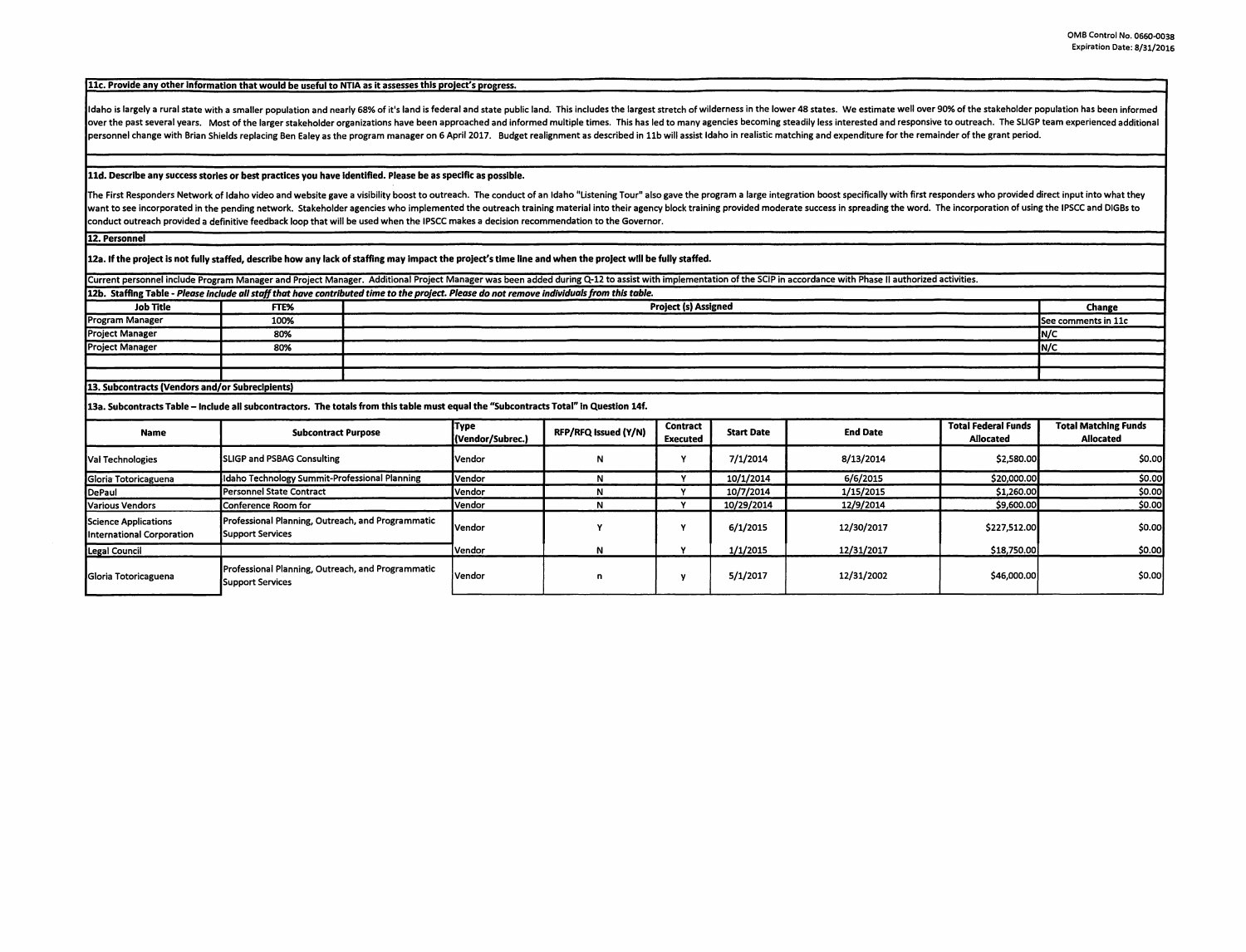**11c. Provide any other information that would be useful to NTIA as it assesses this project's progress.** 

Idaho is largely a rural state with a smaller population and nearly 68% of it's land is federal and state public land. This includes the largest stretch of wilderness in the lower 48 states. We estimate well over 90% of th over the past several years. Most of the larger stakeholder organizations have been approached and informed multiple times. This has led to many agencies becoming steadily less interested and responsive to outreach. The SL personnel change with Brian Shields replacing Ben Ealey as the program manager on 6 April 2017. Budget realignment as described in 11b will assist Idaho in realistic matching and expenditure for the remainder of the grant

## lld. Describe any success stories or best practices you have Identified. Please be as specific as possible.

The First Responders Network of Idaho video and website gave a visibility boost to outreach. The conduct of an Idaho "Listening Tour" also gave the program a large integration boost specifically with first responders who p want to see incorporated in the pending network. Stakeholder agencies who implemented the outreach training material into their agency block training provided moderate success in spreading the word. The incorporation of us conduct outreach provided a definitive feedback loop that will be used when the IPSCC makes a decision recommendation to the Governor.

**12. Personnel** 

**12a. If the project is not fully staffed, describe how any lack of staffing may Impact the project's time line and when the project will be fully staffed.** 

|                                                 |      | Current personnel include Program Manager and Project Manager. Additional Project Manager was been added during Q-12 to assist with implementation of the SCIP in accordance with Phase II authorized activities. |                     |
|-------------------------------------------------|------|-------------------------------------------------------------------------------------------------------------------------------------------------------------------------------------------------------------------|---------------------|
|                                                 |      | 12b. Staffing Table - Please include all staff that have contributed time to the project. Please do not remove individuals from this table.                                                                       |                     |
| Job Title                                       | FTE% | <b>Project (s) Assigned</b>                                                                                                                                                                                       | Change              |
| Program Manager                                 | 100% |                                                                                                                                                                                                                   | See comments in 11c |
| <b>Project Manager</b>                          | 80%  |                                                                                                                                                                                                                   | IN/C                |
| <b>Project Manager</b>                          | 80%  |                                                                                                                                                                                                                   | IN/C                |
|                                                 |      |                                                                                                                                                                                                                   |                     |
|                                                 |      |                                                                                                                                                                                                                   |                     |
| 13. Subcontracts (Vendors and/or Subrecipients) |      |                                                                                                                                                                                                                   |                     |
|                                                 |      | 14f. Subcontracts Table – include all subcontractors. The totals from this table must equal the "Subcontracts Total" in Question 14f.                                                                             |                     |

| <b>Name</b>                                              | <b>Subcontract Purpose</b>                                                   | Type<br>(Vendor/Subrec.) | RFP/RFQ Issued (Y/N) | <b>Contract</b><br>Executed | <b>Start Date</b> | <b>End Date</b> | <b>Total Federal Funds</b><br>Allocated | <b>Total Matching Funds</b><br>Allocated |
|----------------------------------------------------------|------------------------------------------------------------------------------|--------------------------|----------------------|-----------------------------|-------------------|-----------------|-----------------------------------------|------------------------------------------|
| <b>Val Technologies</b>                                  | <b>SLIGP and PSBAG Consulting</b>                                            | Vendor                   | N                    |                             | 7/1/2014          | 8/13/2014       | \$2,580.00                              | \$0.00                                   |
| Gloria Totoricaguena                                     | Idaho Technology Summit-Professional Planning                                | Vendor                   |                      |                             | 10/1/2014         | 6/6/2015        | \$20,000.00                             | \$0.00                                   |
| DePaul                                                   | <b>Personnel State Contract</b>                                              | <b>Vendor</b>            |                      |                             | 10/7/2014         | 1/15/2015       | \$1,260.00                              | \$0.00                                   |
| Various Vendors                                          | Conference Room for                                                          | <b>Vendor</b>            |                      |                             | 10/29/2014        | 12/9/2014       | \$9,600.00                              | \$0.00                                   |
| Science Applications<br><b>International Corporation</b> | Professional Planning, Outreach, and Programmatic<br><b>Support Services</b> | Vendor                   |                      |                             | 6/1/2015          | 12/30/2017      | \$227,512.00                            | \$0.00                                   |
| Legal Council                                            |                                                                              | Vendor                   |                      |                             | 1/1/2015          | 12/31/2017      | \$18,750.00                             | \$0.00                                   |
| Gloria Totoricaguena                                     | Professional Planning, Outreach, and Programmatic<br>Support Services        | Vendor                   |                      |                             | 5/1/2017          | 12/31/2002      | \$46,000.00                             | 50.00                                    |